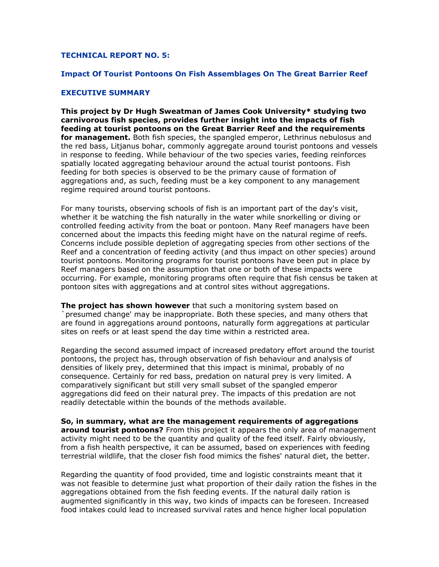## **TECHNICAL REPORT NO. 5:**

## **Impact Of Tourist Pontoons On Fish Assemblages On The Great Barrier Reef**

## **EXECUTIVE SUMMARY**

**This project by Dr Hugh Sweatman of James Cook University\* studying two carnivorous fish species, provides further insight into the impacts of fish feeding at tourist pontoons on the Great Barrier Reef and the requirements for management.** Both fish species, the spangled emperor, Lethrinus nebulosus and the red bass, Litjanus bohar, commonly aggregate around tourist pontoons and vessels in response to feeding. While behaviour of the two species varies, feeding reinforces spatially located aggregating behaviour around the actual tourist pontoons. Fish feeding for both species is observed to be the primary cause of formation of aggregations and, as such, feeding must be a key component to any management regime required around tourist pontoons.

For many tourists, observing schools of fish is an important part of the day's visit, whether it be watching the fish naturally in the water while snorkelling or diving or controlled feeding activity from the boat or pontoon. Many Reef managers have been concerned about the impacts this feeding might have on the natural regime of reefs. Concerns include possible depletion of aggregating species from other sections of the Reef and a concentration of feeding activity (and thus impact on other species) around tourist pontoons. Monitoring programs for tourist pontoons have been put in place by Reef managers based on the assumption that one or both of these impacts were occurring. For example, monitoring programs often require that fish census be taken at pontoon sites with aggregations and at control sites without aggregations.

**The project has shown however** that such a monitoring system based on `presumed change' may be inappropriate. Both these species, and many others that are found in aggregations around pontoons, naturally form aggregations at particular sites on reefs or at least spend the day time within a restricted area.

Regarding the second assumed impact of increased predatory effort around the tourist pontoons, the project has, through observation of fish behaviour and analysis of densities of likely prey, determined that this impact is minimal, probably of no consequence. Certainly for red bass, predation on natural prey is very limited. A comparatively significant but still very small subset of the spangled emperor aggregations did feed on their natural prey. The impacts of this predation are not readily detectable within the bounds of the methods available.

**So, in summary, what are the management requirements of aggregations around tourist pontoons?** From this project it appears the only area of management activity might need to be the quantity and quality of the feed itself. Fairly obviously, from a fish health perspective, it can be assumed, based on experiences with feeding terrestrial wildlife, that the closer fish food mimics the fishes' natural diet, the better.

Regarding the quantity of food provided, time and logistic constraints meant that it was not feasible to determine just what proportion of their daily ration the fishes in the aggregations obtained from the fish feeding events. If the natural daily ration is augmented significantly in this way, two kinds of impacts can be foreseen. Increased food intakes could lead to increased survival rates and hence higher local population